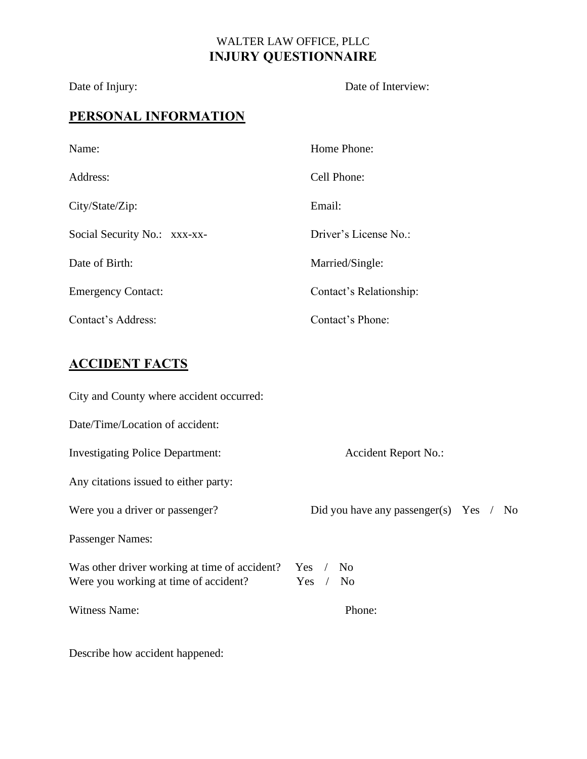#### WALTER LAW OFFICE, PLLC **INJURY QUESTIONNAIRE**

### Date of Injury: Date of Interview:

### **PERSONAL INFORMATION**

| Name:                        | Home Phone:             |
|------------------------------|-------------------------|
| Address:                     | Cell Phone:             |
| City/State/Zip:              | Email:                  |
| Social Security No.: xxx-xx- | Driver's License No.:   |
| Date of Birth:               | Married/Single:         |
| <b>Emergency Contact:</b>    | Contact's Relationship: |
| Contact's Address:           | Contact's Phone:        |

# **ACCIDENT FACTS**

| City and County where accident occurred:                                                        |                                          |
|-------------------------------------------------------------------------------------------------|------------------------------------------|
| Date/Time/Location of accident:                                                                 |                                          |
| <b>Investigating Police Department:</b>                                                         | <b>Accident Report No.:</b>              |
| Any citations issued to either party:                                                           |                                          |
| Were you a driver or passenger?                                                                 | Did you have any passenger(s) Yes $/$ No |
| <b>Passenger Names:</b>                                                                         |                                          |
| Was other driver working at time of accident? Yes / No<br>Were you working at time of accident? | $Yes$ /<br>N <sub>0</sub>                |
| <b>Witness Name:</b>                                                                            | Phone:                                   |

Describe how accident happened: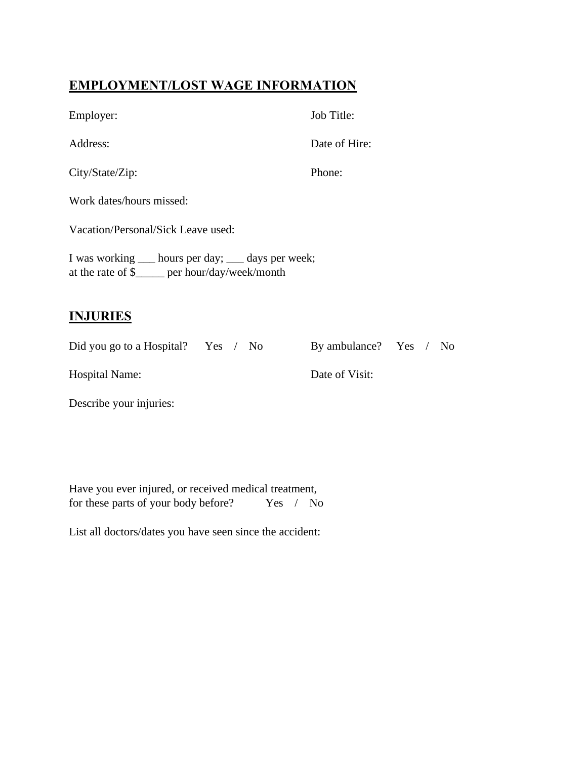### **EMPLOYMENT/LOST WAGE INFORMATION**

| Employer:                                                                                               | Job Title:    |  |
|---------------------------------------------------------------------------------------------------------|---------------|--|
| Address:                                                                                                | Date of Hire: |  |
| City/State/Zip:                                                                                         | Phone:        |  |
| Work dates/hours missed:                                                                                |               |  |
| Vacation/Personal/Sick Leave used:                                                                      |               |  |
| I was working ____ hours per day; ____ days per week;<br>at the rate of \$_____ per hour/day/week/month |               |  |
|                                                                                                         |               |  |

#### **INJURIES**

Did you go to a Hospital? Yes / No By ambulance? Yes / No

Hospital Name: Date of Visit:

Describe your injuries:

Have you ever injured, or received medical treatment, for these parts of your body before? Yes / No

List all doctors/dates you have seen since the accident: